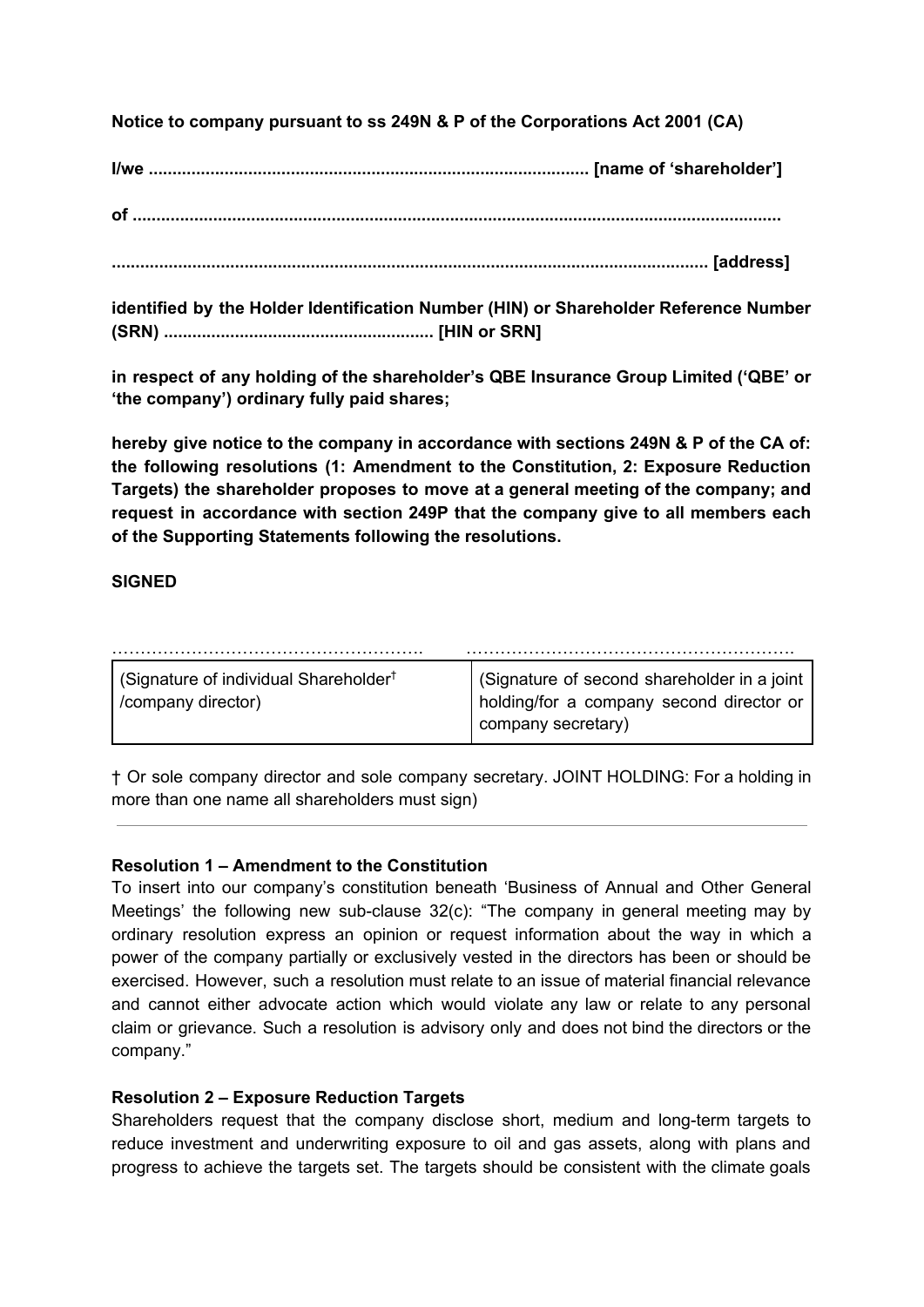**Notice to company pursuant to ss 249N & P of the Corporations Act 2001 (CA)**

**I/we ............................................................................................. [name of 'shareholder']**

**of .........................................................................................................................................**

**.............................................................................................................................. [address]**

**identified by the Holder Identification Number (HIN) or Shareholder Reference Number (SRN) ......................................................... [HIN or SRN]**

**in respect of any holding of the shareholder's QBE Insurance Group Limited ('QBE' or 'the company') ordinary fully paid shares;**

**hereby give notice to the company in accordance with sections 249N & P of the CA of: the following resolutions (1: Amendment to the Constitution, 2: Exposure Reduction Targets) the shareholder proposes to move at a general meeting of the company; and request in accordance with section 249P that the company give to all members each of the Supporting Statements following the resolutions.**

## **SIGNED**

| Signature of individual Shareholder <sup>†</sup><br>/company director) | (Signature of second shareholder in a joint<br>I holding/for a company second director of<br>company secretary) |
|------------------------------------------------------------------------|-----------------------------------------------------------------------------------------------------------------|

† Or sole company director and sole company secretary. JOINT HOLDING: For a holding in more than one name all shareholders must sign)

## **Resolution 1 – Amendment to the Constitution**

To insert into our company's constitution beneath 'Business of Annual and Other General Meetings' the following new sub-clause 32(c): "The company in general meeting may by ordinary resolution express an opinion or request information about the way in which a power of the company partially or exclusively vested in the directors has been or should be exercised. However, such a resolution must relate to an issue of material financial relevance and cannot either advocate action which would violate any law or relate to any personal claim or grievance. Such a resolution is advisory only and does not bind the directors or the company."

## **Resolution 2 – Exposure Reduction Targets**

Shareholders request that the company disclose short, medium and long-term targets to reduce investment and underwriting exposure to oil and gas assets, along with plans and progress to achieve the targets set. The targets should be consistent with the climate goals